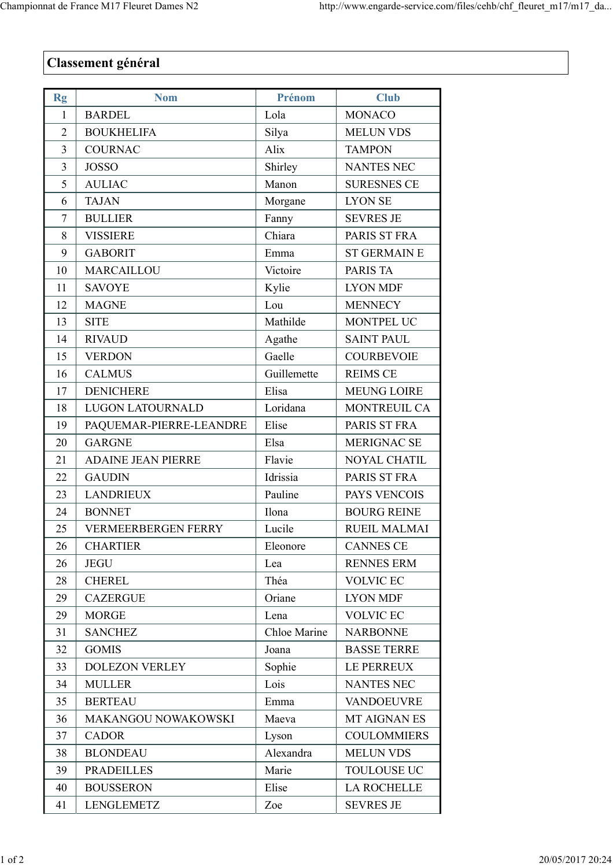## Classement général

| Rg             | <b>Nom</b>                 | Prénom       | <b>Club</b>         |
|----------------|----------------------------|--------------|---------------------|
| $\mathbf{1}$   | <b>BARDEL</b>              | Lola         | <b>MONACO</b>       |
| $\overline{2}$ | <b>BOUKHELIFA</b>          | Silya        | <b>MELUN VDS</b>    |
| 3              | <b>COURNAC</b>             | Alix         | <b>TAMPON</b>       |
| 3              | <b>JOSSO</b>               | Shirley      | <b>NANTES NEC</b>   |
| 5              | <b>AULIAC</b>              | Manon        | <b>SURESNES CE</b>  |
| 6              | <b>TAJAN</b>               | Morgane      | <b>LYON SE</b>      |
| 7              | <b>BULLIER</b>             | Fanny        | <b>SEVRES JE</b>    |
| 8              | <b>VISSIERE</b>            | Chiara       | PARIS ST FRA        |
| 9              | <b>GABORIT</b>             | Emma         | <b>ST GERMAIN E</b> |
| 10             | MARCAILLOU                 | Victoire     | PARIS TA            |
| 11             | <b>SAVOYE</b>              | Kylie        | <b>LYON MDF</b>     |
| 12             | <b>MAGNE</b>               | Lou          | <b>MENNECY</b>      |
| 13             | <b>SITE</b>                | Mathilde     | MONTPEL UC          |
| 14             | <b>RIVAUD</b>              | Agathe       | <b>SAINT PAUL</b>   |
| 15             | <b>VERDON</b>              | Gaelle       | <b>COURBEVOIE</b>   |
| 16             | <b>CALMUS</b>              | Guillemette  | <b>REIMS CE</b>     |
| 17             | <b>DENICHERE</b>           | Elisa        | <b>MEUNG LOIRE</b>  |
| 18             | <b>LUGON LATOURNALD</b>    | Loridana     | MONTREUIL CA        |
| 19             | PAQUEMAR-PIERRE-LEANDRE    | Elise        | PARIS ST FRA        |
| 20             | <b>GARGNE</b>              | Elsa         | <b>MERIGNAC SE</b>  |
| 21             | <b>ADAINE JEAN PIERRE</b>  | Flavie       | <b>NOYAL CHATIL</b> |
| 22             | <b>GAUDIN</b>              | Idrissia     | PARIS ST FRA        |
| 23             | <b>LANDRIEUX</b>           | Pauline      | PAYS VENCOIS        |
| 24             | <b>BONNET</b>              | Ilona        | <b>BOURG REINE</b>  |
| 25             | <b>VERMEERBERGEN FERRY</b> | Lucile       | RUEIL MALMAI        |
| 26             | <b>CHARTIER</b>            | Eleonore     | <b>CANNES CE</b>    |
| 26             | <b>JEGU</b>                | Lea          | <b>RENNES ERM</b>   |
| 28             | <b>CHEREL</b>              | Théa         | <b>VOLVIC EC</b>    |
| 29             | <b>CAZERGUE</b>            | Oriane       | <b>LYON MDF</b>     |
| 29             | <b>MORGE</b>               | Lena         | <b>VOLVIC EC</b>    |
| 31             | <b>SANCHEZ</b>             | Chloe Marine | <b>NARBONNE</b>     |
| 32             | <b>GOMIS</b>               | Joana        | <b>BASSE TERRE</b>  |
| 33             | <b>DOLEZON VERLEY</b>      | Sophie       | LE PERREUX          |
| 34             | <b>MULLER</b>              | Lois         | <b>NANTES NEC</b>   |
| 35             | <b>BERTEAU</b>             | Emma         | <b>VANDOEUVRE</b>   |
| 36             | MAKANGOU NOWAKOWSKI        | Maeva        | MT AIGNAN ES        |
| 37             | <b>CADOR</b>               | Lyson        | <b>COULOMMIERS</b>  |
| 38             | <b>BLONDEAU</b>            | Alexandra    | <b>MELUN VDS</b>    |
| 39             | <b>PRADEILLES</b>          | Marie        | <b>TOULOUSE UC</b>  |
| 40             | <b>BOUSSERON</b>           | Elise        | <b>LA ROCHELLE</b>  |
| 41             | LENGLEMETZ                 | Zoe          | <b>SEVRES JE</b>    |